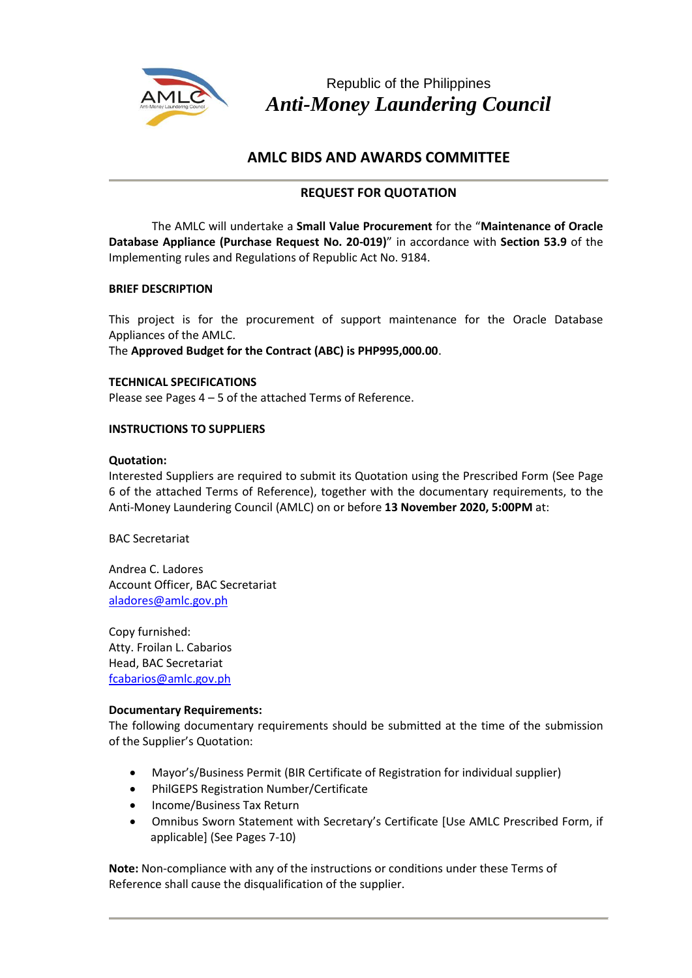

Republic of the Philippines *Anti-Money Laundering Council*

# **AMLC BIDS AND AWARDS COMMITTEE**

# **REQUEST FOR QUOTATION**

The AMLC will undertake a **Small Value Procurement** for the "**Maintenance of Oracle Database Appliance (Purchase Request No. 20-019)**" in accordance with **Section 53.9** of the Implementing rules and Regulations of Republic Act No. 9184.

# **BRIEF DESCRIPTION**

This project is for the procurement of support maintenance for the Oracle Database Appliances of the AMLC.

The **Approved Budget for the Contract (ABC) is PHP995,000.00**.

**TECHNICAL SPECIFICATIONS** Please see Pages 4 – 5 of the attached Terms of Reference.

# **INSTRUCTIONS TO SUPPLIERS**

# **Quotation:**

Interested Suppliers are required to submit its Quotation using the Prescribed Form (See Page 6 of the attached Terms of Reference), together with the documentary requirements, to the Anti-Money Laundering Council (AMLC) on or before **13 November 2020, 5:00PM** at:

BAC Secretariat

Andrea C. Ladores Account Officer, BAC Secretariat [aladores@amlc.gov.ph](mailto:aladores@amlc.gov.ph)

Copy furnished: Atty. Froilan L. Cabarios Head, BAC Secretariat [fcabarios@amlc.gov.ph](mailto:fcabarios@amlc.gov.ph)

#### **Documentary Requirements:**

The following documentary requirements should be submitted at the time of the submission of the Supplier's Quotation:

- Mayor's/Business Permit (BIR Certificate of Registration for individual supplier)
- PhilGEPS Registration Number/Certificate
- Income/Business Tax Return
- Omnibus Sworn Statement with Secretary's Certificate [Use AMLC Prescribed Form, if applicable] (See Pages 7-10)

**Note:** Non-compliance with any of the instructions or conditions under these Terms of Reference shall cause the disqualification of the supplier.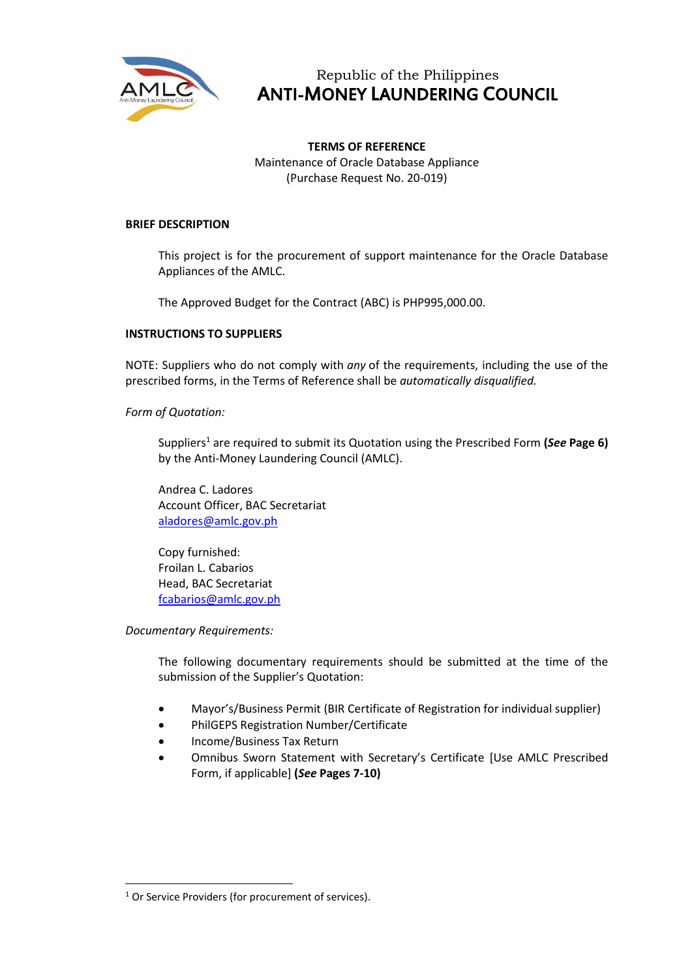

# Republic of the Philippines ANTI-MONEY LAUNDERING COUNCIL

**TERMS OF REFERENCE** Maintenance of Oracle Database Appliance (Purchase Request No. 20-019)

#### **BRIEF DESCRIPTION**

This project is for the procurement of support maintenance for the Oracle Database Appliances of the AMLC.

The Approved Budget for the Contract (ABC) is PHP995,000.00.

#### **INSTRUCTIONS TO SUPPLIERS**

NOTE: Suppliers who do not comply with *any* of the requirements, including the use of the prescribed forms, in the Terms of Reference shall be *automatically disqualified.*

*Form of Quotation:*

Suppliers<sup>1</sup> are required to submit its Quotation using the Prescribed Form **(***See* **Page 6)** by the Anti-Money Laundering Council (AMLC).

Andrea C. Ladores Account Officer, BAC Secretariat [aladores@amlc.gov.ph](mailto:aladores@amlc.gov.ph)

Copy furnished: Froilan L. Cabarios Head, BAC Secretariat [fcabarios@amlc.gov.ph](mailto:fcabarios@amlc.gov.ph)

*Documentary Requirements:*

The following documentary requirements should be submitted at the time of the submission of the Supplier's Quotation:

- Mayor's/Business Permit (BIR Certificate of Registration for individual supplier)
- PhilGEPS Registration Number/Certificate
- Income/Business Tax Return
- Omnibus Sworn Statement with Secretary's Certificate [Use AMLC Prescribed Form, if applicable] **(***See* **Pages 7-10)**

<sup>&</sup>lt;sup>1</sup> Or Service Providers (for procurement of services).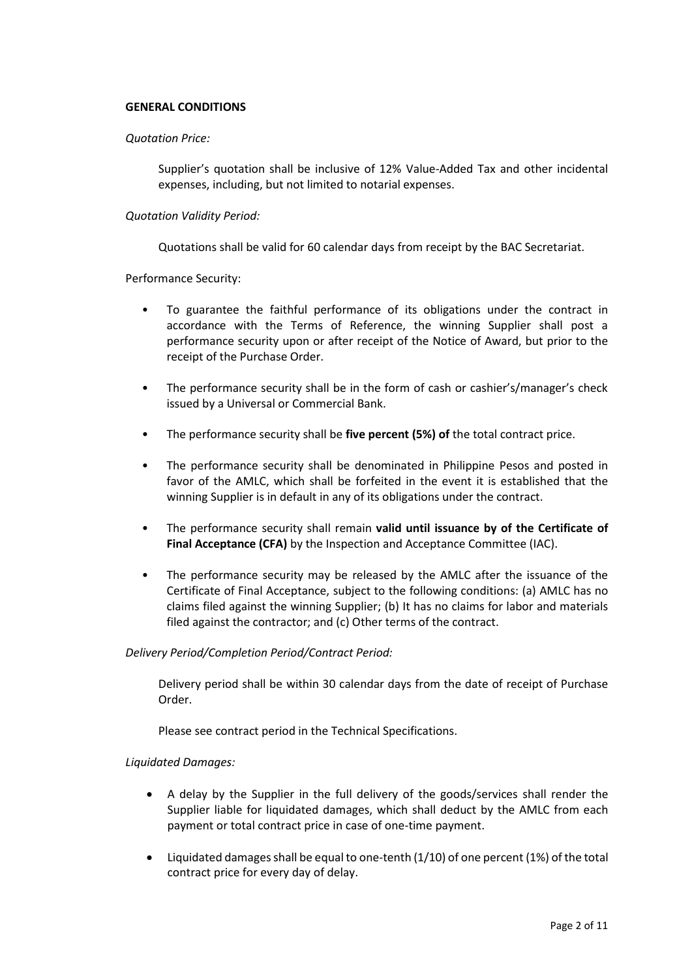#### **GENERAL CONDITIONS**

#### *Quotation Price:*

Supplier's quotation shall be inclusive of 12% Value-Added Tax and other incidental expenses, including, but not limited to notarial expenses.

#### *Quotation Validity Period:*

Quotations shall be valid for 60 calendar days from receipt by the BAC Secretariat.

Performance Security:

- To guarantee the faithful performance of its obligations under the contract in accordance with the Terms of Reference, the winning Supplier shall post a performance security upon or after receipt of the Notice of Award, but prior to the receipt of the Purchase Order.
- The performance security shall be in the form of cash or cashier's/manager's check issued by a Universal or Commercial Bank.
- The performance security shall be **five percent (5%) of** the total contract price.
- The performance security shall be denominated in Philippine Pesos and posted in favor of the AMLC, which shall be forfeited in the event it is established that the winning Supplier is in default in any of its obligations under the contract.
- The performance security shall remain **valid until issuance by of the Certificate of Final Acceptance (CFA)** by the Inspection and Acceptance Committee (IAC).
- The performance security may be released by the AMLC after the issuance of the Certificate of Final Acceptance, subject to the following conditions: (a) AMLC has no claims filed against the winning Supplier; (b) It has no claims for labor and materials filed against the contractor; and (c) Other terms of the contract.

#### *Delivery Period/Completion Period/Contract Period:*

Delivery period shall be within 30 calendar days from the date of receipt of Purchase Order.

Please see contract period in the Technical Specifications.

#### *Liquidated Damages:*

- A delay by the Supplier in the full delivery of the goods/services shall render the Supplier liable for liquidated damages, which shall deduct by the AMLC from each payment or total contract price in case of one-time payment.
- Liquidated damages shall be equal to one-tenth  $(1/10)$  of one percent  $(1%)$  of the total contract price for every day of delay.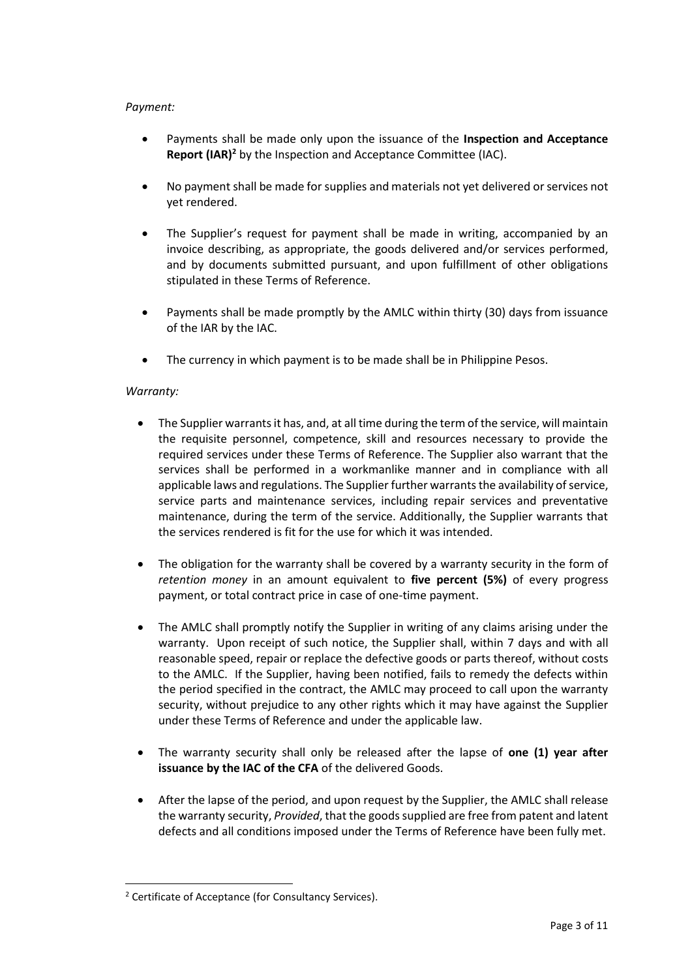#### *Payment:*

- Payments shall be made only upon the issuance of the **Inspection and Acceptance Report (IAR)<sup>2</sup>** by the Inspection and Acceptance Committee (IAC).
- No payment shall be made for supplies and materials not yet delivered or services not yet rendered.
- The Supplier's request for payment shall be made in writing, accompanied by an invoice describing, as appropriate, the goods delivered and/or services performed, and by documents submitted pursuant, and upon fulfillment of other obligations stipulated in these Terms of Reference.
- Payments shall be made promptly by the AMLC within thirty (30) days from issuance of the IAR by the IAC.
- The currency in which payment is to be made shall be in Philippine Pesos.

# *Warranty:*

- The Supplier warrants it has, and, at all time during the term of the service, will maintain the requisite personnel, competence, skill and resources necessary to provide the required services under these Terms of Reference. The Supplier also warrant that the services shall be performed in a workmanlike manner and in compliance with all applicable laws and regulations. The Supplier further warrants the availability of service, service parts and maintenance services, including repair services and preventative maintenance, during the term of the service. Additionally, the Supplier warrants that the services rendered is fit for the use for which it was intended.
- The obligation for the warranty shall be covered by a warranty security in the form of *retention money* in an amount equivalent to **five percent (5%)** of every progress payment, or total contract price in case of one-time payment.
- The AMLC shall promptly notify the Supplier in writing of any claims arising under the warranty. Upon receipt of such notice, the Supplier shall, within 7 days and with all reasonable speed, repair or replace the defective goods or parts thereof, without costs to the AMLC. If the Supplier, having been notified, fails to remedy the defects within the period specified in the contract, the AMLC may proceed to call upon the warranty security, without prejudice to any other rights which it may have against the Supplier under these Terms of Reference and under the applicable law.
- The warranty security shall only be released after the lapse of **one (1) year after issuance by the IAC of the CFA** of the delivered Goods.
- After the lapse of the period, and upon request by the Supplier, the AMLC shall release the warranty security, *Provided*, that the goods supplied are free from patent and latent defects and all conditions imposed under the Terms of Reference have been fully met.

<sup>2</sup> Certificate of Acceptance (for Consultancy Services).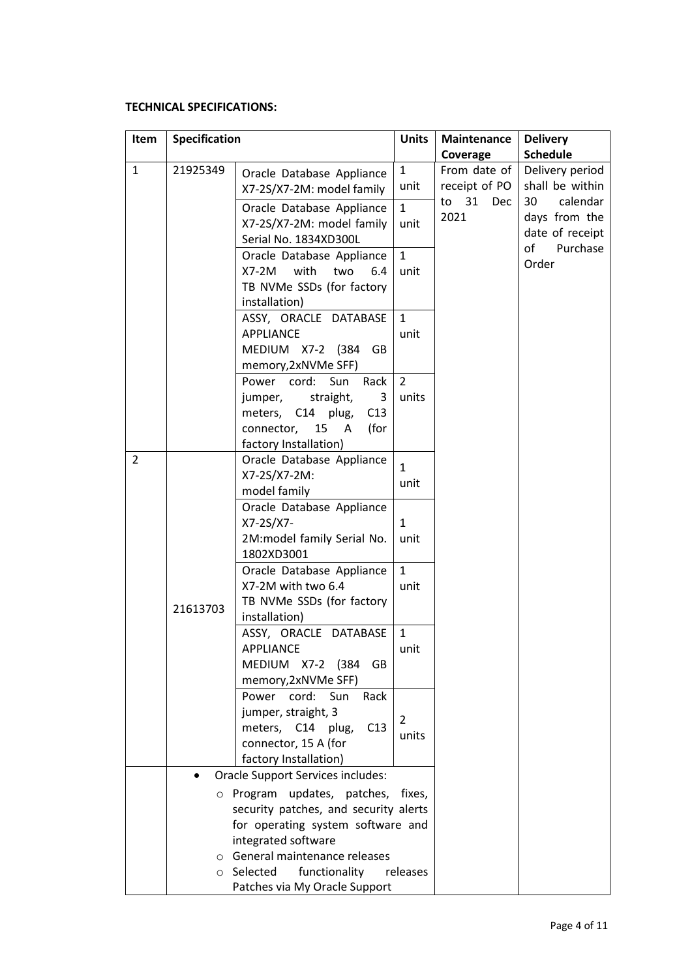# **TECHNICAL SPECIFICATIONS:**

| Item         | Specification |                                            |              | Maintenance   | <b>Delivery</b> |
|--------------|---------------|--------------------------------------------|--------------|---------------|-----------------|
|              |               |                                            |              | Coverage      | <b>Schedule</b> |
| $\mathbf{1}$ | 21925349      | Oracle Database Appliance                  | $\mathbf{1}$ | From date of  | Delivery period |
|              |               | X7-2S/X7-2M: model family                  | unit         | receipt of PO | shall be within |
|              |               | Oracle Database Appliance                  | $\mathbf{1}$ | to 31<br>Dec  | calendar<br>30  |
|              |               | X7-2S/X7-2M: model family                  | unit         | 2021          | days from the   |
|              |               | Serial No. 1834XD300L                      |              |               | date of receipt |
|              |               | Oracle Database Appliance                  | $\mathbf{1}$ |               | of<br>Purchase  |
|              |               | $X7-2M$<br>with<br>two<br>6.4              | unit         |               | Order           |
|              |               | TB NVMe SSDs (for factory                  |              |               |                 |
|              |               | installation)                              |              |               |                 |
|              |               | ASSY, ORACLE DATABASE                      | $\mathbf{1}$ |               |                 |
|              |               | <b>APPLIANCE</b>                           | unit         |               |                 |
|              |               | MEDIUM X7-2 (384 GB                        |              |               |                 |
|              |               | memory, 2xNVMe SFF)                        |              |               |                 |
|              |               | Power cord:<br>Sun<br>Rack                 | 2            |               |                 |
|              |               | jumper, straight,<br>3                     | units        |               |                 |
|              |               | meters, C14 plug,<br>C13                   |              |               |                 |
|              |               | connector, 15 A<br>(for                    |              |               |                 |
|              |               | factory Installation)                      |              |               |                 |
| 2            |               | Oracle Database Appliance                  | $\mathbf{1}$ |               |                 |
|              |               | X7-2S/X7-2M:                               | unit         |               |                 |
|              |               | model family                               |              |               |                 |
|              |               | Oracle Database Appliance                  |              |               |                 |
|              |               | X7-2S/X7-                                  | $\mathbf{1}$ |               |                 |
|              |               | 2M:model family Serial No.                 | unit         |               |                 |
|              |               | 1802XD3001                                 |              |               |                 |
|              |               | Oracle Database Appliance                  | $\mathbf{1}$ |               |                 |
|              |               | X7-2M with two 6.4                         | unit         |               |                 |
|              | 21613703      | TB NVMe SSDs (for factory<br>installation) |              |               |                 |
|              |               | ASSY, ORACLE DATABASE                      | 1            |               |                 |
|              |               | APPLIANCE                                  | unit         |               |                 |
|              |               | MEDIUM X7-2 (384<br>GB                     |              |               |                 |
|              |               | memory, 2xNVMe SFF)                        |              |               |                 |
|              |               | Sun<br>Power cord:<br>Rack                 |              |               |                 |
|              |               | jumper, straight, 3                        |              |               |                 |
|              |               | meters, C14<br>plug,<br>C13                | 2            |               |                 |
|              |               | connector, 15 A (for                       | units        |               |                 |
|              |               | factory Installation)                      |              |               |                 |
|              |               | <b>Oracle Support Services includes:</b>   |              |               |                 |
|              |               | o Program updates, patches, fixes,         |              |               |                 |
|              |               | security patches, and security alerts      |              |               |                 |
|              |               | for operating system software and          |              |               |                 |
|              |               | integrated software                        |              |               |                 |
|              |               | o General maintenance releases             |              |               |                 |
|              |               | functionality<br>o Selected                | releases     |               |                 |
|              |               | Patches via My Oracle Support              |              |               |                 |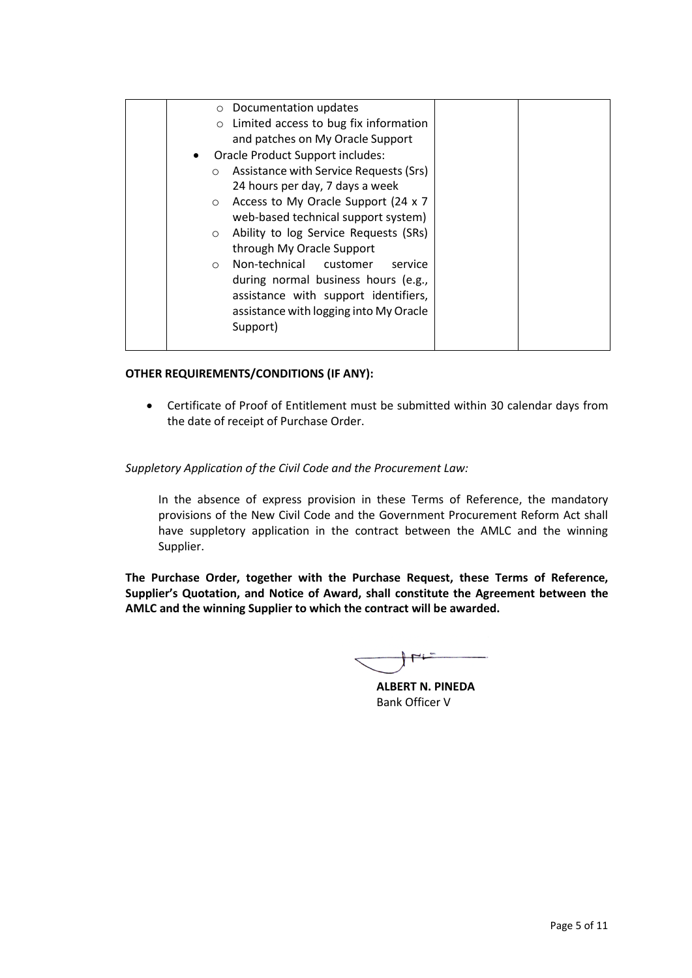| $\circ$ Documentation updates                     |  |
|---------------------------------------------------|--|
| Limited access to bug fix information             |  |
| and patches on My Oracle Support                  |  |
| Oracle Product Support includes:<br>$\bullet$     |  |
| Assistance with Service Requests (Srs)<br>$\circ$ |  |
| 24 hours per day, 7 days a week                   |  |
| Access to My Oracle Support (24 x 7)<br>$\circ$   |  |
| web-based technical support system)               |  |
| Ability to log Service Requests (SRs)<br>$\circ$  |  |
| through My Oracle Support                         |  |
| Non-technical customer<br>service<br>$\circ$      |  |
| during normal business hours (e.g.,               |  |
| assistance with support identifiers,              |  |
| assistance with logging into My Oracle            |  |
| Support)                                          |  |
|                                                   |  |

# **OTHER REQUIREMENTS/CONDITIONS (IF ANY):**

• Certificate of Proof of Entitlement must be submitted within 30 calendar days from the date of receipt of Purchase Order.

# *Suppletory Application of the Civil Code and the Procurement Law:*

In the absence of express provision in these Terms of Reference, the mandatory provisions of the New Civil Code and the Government Procurement Reform Act shall have suppletory application in the contract between the AMLC and the winning Supplier.

**The Purchase Order, together with the Purchase Request, these Terms of Reference, Supplier's Quotation, and Notice of Award, shall constitute the Agreement between the AMLC and the winning Supplier to which the contract will be awarded.**

**ALBERT N. PINEDA** Bank Officer V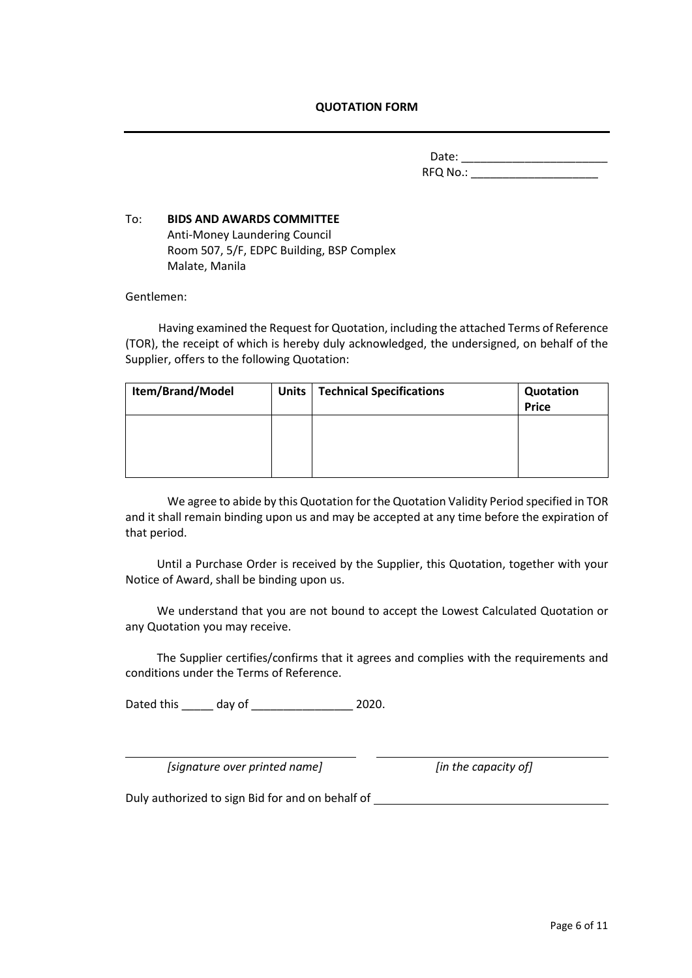#### **QUOTATION FORM**

Date: \_\_\_\_\_\_\_\_\_\_\_\_\_\_\_\_\_\_\_\_\_\_\_ RFQ No.: \_\_\_\_\_\_\_\_\_\_\_\_\_\_\_\_\_\_\_\_

# To:**BIDS AND AWARDS COMMITTEE** Anti-Money Laundering Council Room 507, 5/F, EDPC Building, BSP Complex Malate, Manila

Gentlemen:

Having examined the Request for Quotation, including the attached Terms of Reference (TOR), the receipt of which is hereby duly acknowledged, the undersigned, on behalf of the Supplier, offers to the following Quotation:

| Item/Brand/Model | <b>Units</b> | <b>Technical Specifications</b> | Quotation<br><b>Price</b> |
|------------------|--------------|---------------------------------|---------------------------|
|                  |              |                                 |                           |
|                  |              |                                 |                           |

We agree to abide by this Quotation for the Quotation Validity Period specified in TOR and it shall remain binding upon us and may be accepted at any time before the expiration of that period.

Until a Purchase Order is received by the Supplier, this Quotation, together with your Notice of Award, shall be binding upon us.

We understand that you are not bound to accept the Lowest Calculated Quotation or any Quotation you may receive.

The Supplier certifies/confirms that it agrees and complies with the requirements and conditions under the Terms of Reference.

Dated this \_\_\_\_\_ day of \_\_\_\_\_\_\_\_\_\_\_\_\_\_\_\_ 2020.

*[signature over printed name] [in the capacity of]*

Duly authorized to sign Bid for and on behalf of \_\_\_\_\_\_\_\_\_\_\_\_\_\_\_\_\_\_\_\_\_\_\_\_\_\_\_\_\_\_\_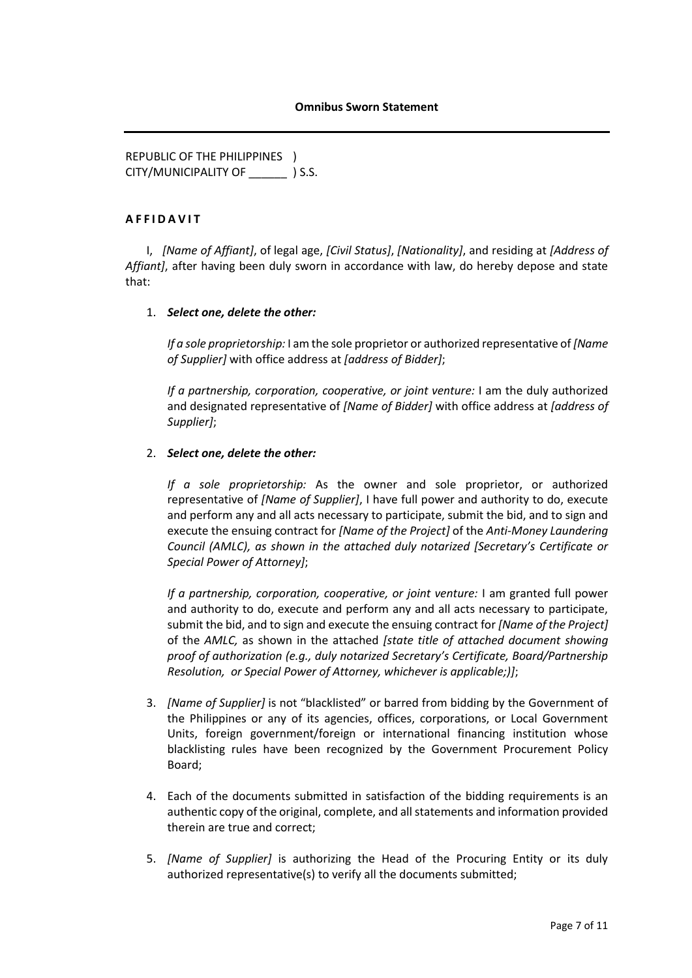REPUBLIC OF THE PHILIPPINES ) CITY/MUNICIPALITY OF \_\_\_\_\_\_ ) S.S.

#### **A F F I D A V I T**

I, *[Name of Affiant]*, of legal age, *[Civil Status]*, *[Nationality]*, and residing at *[Address of Affiant]*, after having been duly sworn in accordance with law, do hereby depose and state that:

#### 1. *Select one, delete the other:*

*If a sole proprietorship:* I am the sole proprietor or authorized representative of *[Name of Supplier]* with office address at *[address of Bidder]*;

*If a partnership, corporation, cooperative, or joint venture:* I am the duly authorized and designated representative of *[Name of Bidder]* with office address at *[address of Supplier]*;

#### 2. *Select one, delete the other:*

*If a sole proprietorship:* As the owner and sole proprietor, or authorized representative of *[Name of Supplier]*, I have full power and authority to do, execute and perform any and all acts necessary to participate, submit the bid, and to sign and execute the ensuing contract for *[Name of the Project]* of the *Anti-Money Laundering Council (AMLC), as shown in the attached duly notarized [Secretary's Certificate or Special Power of Attorney]*;

*If a partnership, corporation, cooperative, or joint venture:* I am granted full power and authority to do, execute and perform any and all acts necessary to participate, submit the bid, and to sign and execute the ensuing contract for *[Name of the Project]* of the *AMLC,* as shown in the attached *[state title of attached document showing proof of authorization (e.g., duly notarized Secretary's Certificate, Board/Partnership Resolution, or Special Power of Attorney, whichever is applicable;)]*;

- 3. *[Name of Supplier]* is not "blacklisted" or barred from bidding by the Government of the Philippines or any of its agencies, offices, corporations, or Local Government Units, foreign government/foreign or international financing institution whose blacklisting rules have been recognized by the Government Procurement Policy Board;
- 4. Each of the documents submitted in satisfaction of the bidding requirements is an authentic copy of the original, complete, and all statements and information provided therein are true and correct;
- 5. *[Name of Supplier]* is authorizing the Head of the Procuring Entity or its duly authorized representative(s) to verify all the documents submitted;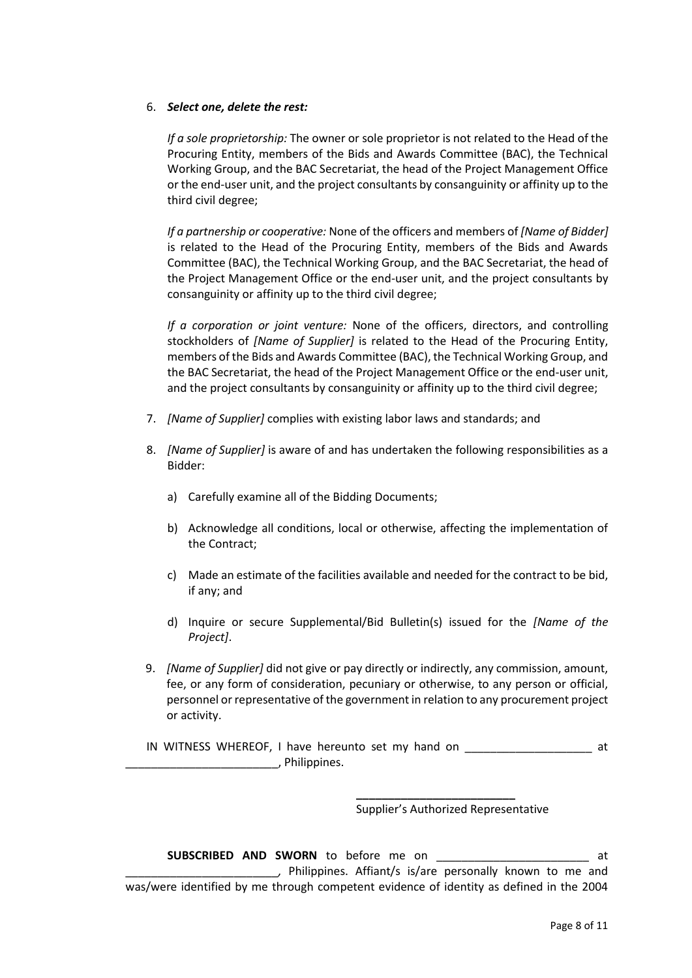#### 6. *Select one, delete the rest:*

*If a sole proprietorship:* The owner or sole proprietor is not related to the Head of the Procuring Entity, members of the Bids and Awards Committee (BAC), the Technical Working Group, and the BAC Secretariat, the head of the Project Management Office or the end-user unit, and the project consultants by consanguinity or affinity up to the third civil degree;

*If a partnership or cooperative:* None of the officers and members of *[Name of Bidder]*  is related to the Head of the Procuring Entity, members of the Bids and Awards Committee (BAC), the Technical Working Group, and the BAC Secretariat, the head of the Project Management Office or the end-user unit, and the project consultants by consanguinity or affinity up to the third civil degree;

*If a corporation or joint venture:* None of the officers, directors, and controlling stockholders of *[Name of Supplier]* is related to the Head of the Procuring Entity, members of the Bids and Awards Committee (BAC), the Technical Working Group, and the BAC Secretariat, the head of the Project Management Office or the end-user unit, and the project consultants by consanguinity or affinity up to the third civil degree;

- 7. *[Name of Supplier]* complies with existing labor laws and standards; and
- 8. *[Name of Supplier]* is aware of and has undertaken the following responsibilities as a Bidder:
	- a) Carefully examine all of the Bidding Documents;
	- b) Acknowledge all conditions, local or otherwise, affecting the implementation of the Contract;
	- c) Made an estimate of the facilities available and needed for the contract to be bid, if any; and
	- d) Inquire or secure Supplemental/Bid Bulletin(s) issued for the *[Name of the Project]*.
- 9. *[Name of Supplier]* did not give or pay directly or indirectly, any commission, amount, fee, or any form of consideration, pecuniary or otherwise, to any person or official, personnel or representative of the government in relation to any procurement project or activity.
- IN WITNESS WHEREOF, I have hereunto set my hand on \_\_\_\_\_\_\_\_\_\_\_\_\_\_\_\_\_\_\_\_ at \_\_\_\_\_\_\_\_\_\_\_\_\_\_\_\_\_\_\_\_\_\_\_\_, Philippines.

Supplier's Authorized Representative

**\_\_\_\_\_\_\_\_\_\_\_\_\_\_\_\_\_\_\_\_\_\_\_\_\_**

**SUBSCRIBED AND SWORN** to before me on \_\_\_\_\_\_\_\_\_\_\_\_\_\_\_\_\_\_\_\_\_\_\_\_*,* Philippines. Affiant/s is/are personally known to me and was/were identified by me through competent evidence of identity as defined in the 2004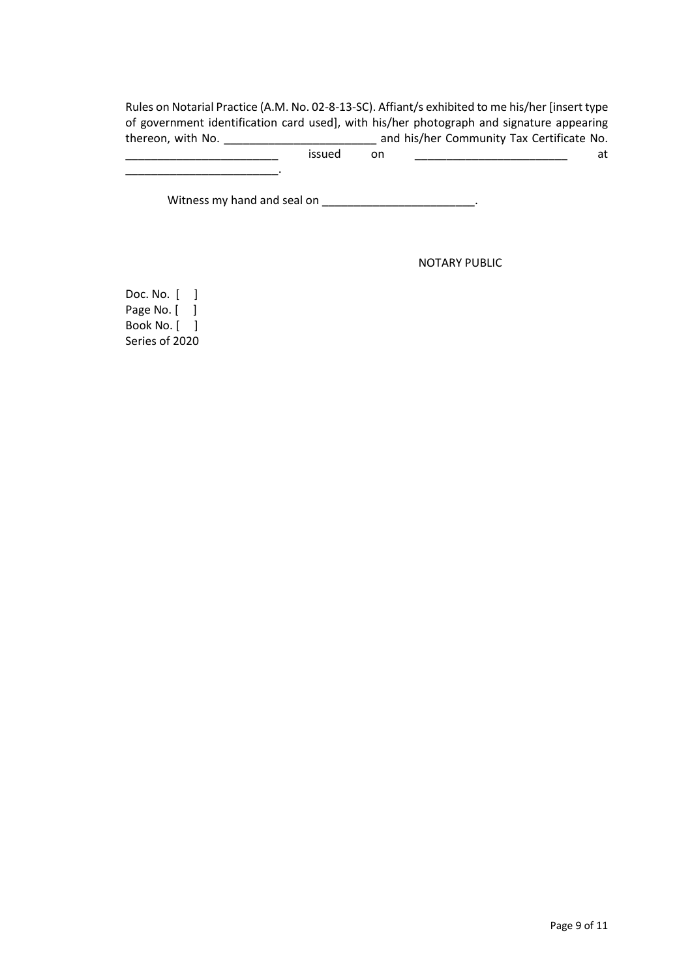Rules on Notarial Practice (A.M. No. 02-8-13-SC). Affiant/s exhibited to me his/her [insert type of government identification card used], with his/her photograph and signature appearing thereon, with No. \_\_\_\_\_\_\_\_\_\_\_\_\_\_\_\_\_\_\_\_\_\_\_\_ and his/her Community Tax Certificate No.

 $\blacksquare$  issued on  $\blacksquare$  at

Witness my hand and seal on \_\_\_\_\_\_\_\_\_\_\_\_\_\_\_\_\_\_\_\_\_\_\_\_\_\_.

NOTARY PUBLIC

Doc. No. [ ] Page No. [ ] Book No. [ ] Series of 2020

\_\_\_\_\_\_\_\_\_\_\_\_\_\_\_\_\_\_\_\_\_\_\_\_.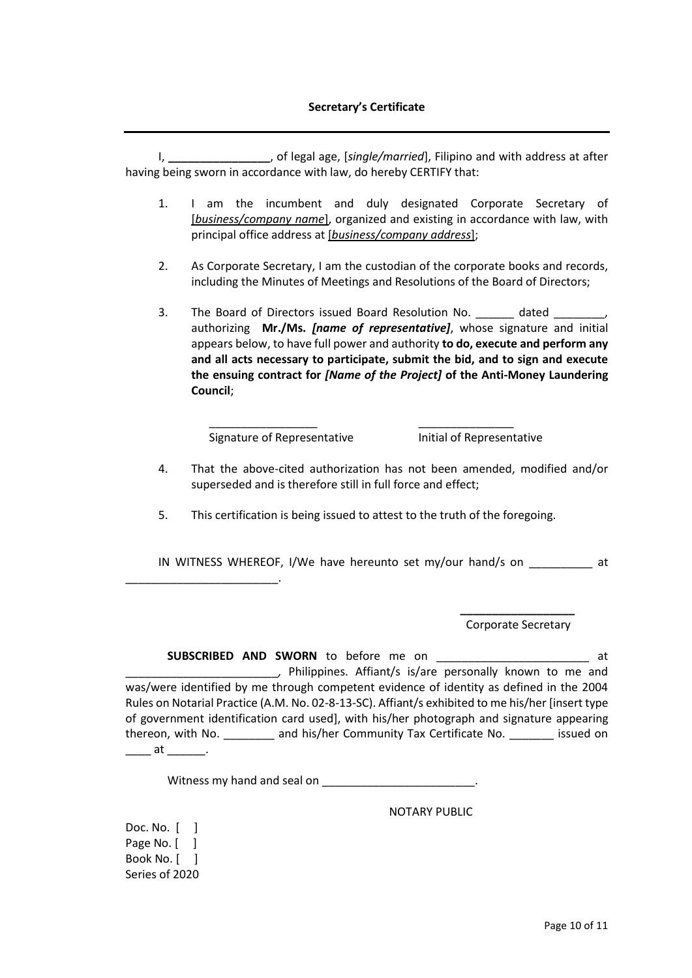#### **Secretary's Certificate**

I, **\_\_\_\_\_\_\_\_\_\_\_\_\_\_\_\_**, of legal age, [*single/married*], Filipino and with address at after having being sworn in accordance with law, do hereby CERTIFY that:

- 1. I am the incumbent and duly designated Corporate Secretary of [*business/company name*], organized and existing in accordance with law, with principal office address at [*business/company address*];
- 2. As Corporate Secretary, I am the custodian of the corporate books and records, including the Minutes of Meetings and Resolutions of the Board of Directors;
- 3. The Board of Directors issued Board Resolution No. \_\_\_\_\_\_\_ dated \_ authorizing **Mr./Ms.** *[name of representative]*, whose signature and initial appears below, to have full power and authority **to do, execute and perform any and all acts necessary to participate, submit the bid, and to sign and execute the ensuing contract for** *[Name of the Project]* **of the Anti-Money Laundering Council**;

Signature of Representative Initial of Representative

- 4. That the above-cited authorization has not been amended, modified and/or superseded and is therefore still in full force and effect;
- 5. This certification is being issued to attest to the truth of the foregoing.

\_\_\_\_\_\_\_\_\_\_\_\_\_\_\_\_\_ \_\_\_\_\_\_\_\_\_\_\_\_\_\_\_

IN WITNESS WHEREOF, I/We have hereunto set my/our hand/s on at

**\_\_\_\_\_\_\_\_\_\_\_\_\_\_\_\_\_\_** Corporate Secretary

**SUBSCRIBED AND SWORN** to before me on \_\_\_\_\_\_\_\_\_\_\_\_\_\_\_\_\_\_\_\_\_\_\_\_ at \_\_\_\_\_\_\_\_\_\_\_\_\_\_\_\_\_\_\_\_\_\_\_\_*,* Philippines. Affiant/s is/are personally known to me and was/were identified by me through competent evidence of identity as defined in the 2004 Rules on Notarial Practice (A.M. No. 02-8-13-SC). Affiant/s exhibited to me his/her [insert type of government identification card used], with his/her photograph and signature appearing thereon, with No. **Example 2** and his/her Community Tax Certificate No. **Example 2** issued on  $\qquad \qquad \text{at} \qquad \qquad .$ 

Witness my hand and seal on \_\_\_\_\_\_\_\_\_\_\_\_\_\_\_\_\_\_\_\_\_\_\_\_\_.

NOTARY PUBLIC

Doc. No. [ ] Page No. [ ] Book No. [ ] Series of 2020

\_\_\_\_\_\_\_\_\_\_\_\_\_\_\_\_\_\_\_\_\_\_\_\_.